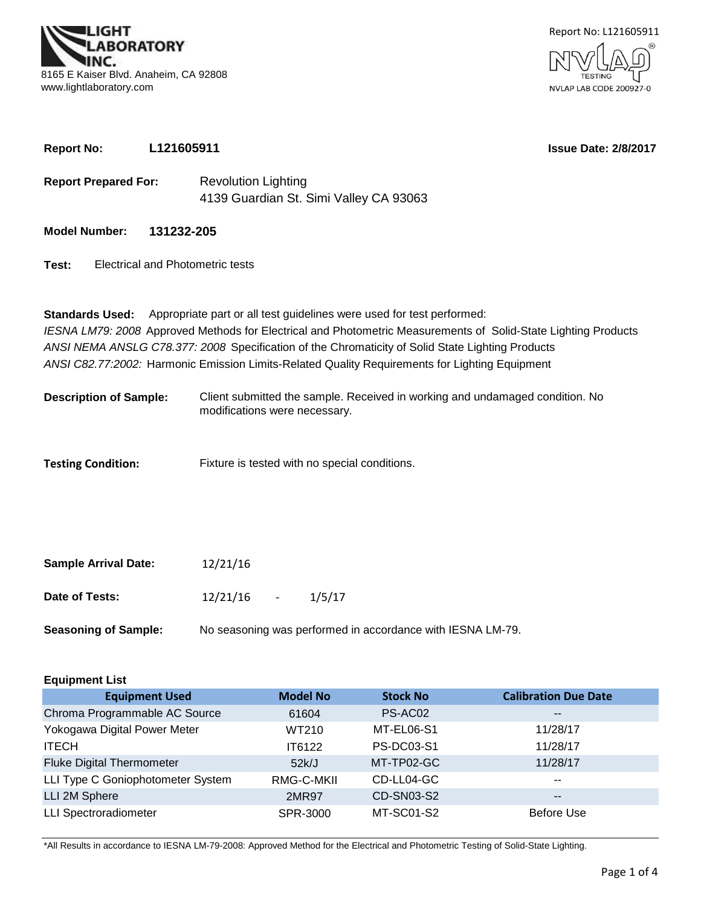



**Report No: L121605911**

**Issue Date: 2/8/2017**

- 4139 Guardian St. Simi Valley CA 93063 **Report Prepared For:** Revolution Lighting
- **Model Number: 131232-205**
- **Test:** Electrical and Photometric tests

*ANSI C82.77:2002:* Harmonic Emission Limits-Related Quality Requirements for Lighting Equipment **Standards Used:** Appropriate part or all test guidelines were used for test performed: *IESNA LM79: 2008* Approved Methods for Electrical and Photometric Measurements of Solid-State Lighting Products *ANSI NEMA ANSLG C78.377: 2008* Specification of the Chromaticity of Solid State Lighting Products

- Client submitted the sample. Received in working and undamaged condition. No modifications were necessary. **Description of Sample:**
- Fixture is tested with no special conditions. **Testing Condition:**

| <b>Sample Arrival Date:</b> | 12/21/16               |                                                            |
|-----------------------------|------------------------|------------------------------------------------------------|
| Date of Tests:              | $12/21/16$ -<br>1/5/17 |                                                            |
| <b>Seasoning of Sample:</b> |                        | No seasoning was performed in accordance with IESNA LM-79. |

| <b>Equipment List</b>             |                 |                   |                             |  |  |  |  |  |  |  |
|-----------------------------------|-----------------|-------------------|-----------------------------|--|--|--|--|--|--|--|
| <b>Equipment Used</b>             | <b>Model No</b> | <b>Stock No</b>   | <b>Calibration Due Date</b> |  |  |  |  |  |  |  |
| Chroma Programmable AC Source     | 61604           | PS-AC02           | $\sim$ $\sim$               |  |  |  |  |  |  |  |
| Yokogawa Digital Power Meter      | WT210           | MT-EL06-S1        | 11/28/17                    |  |  |  |  |  |  |  |
| <b>ITECH</b>                      | IT6122          | <b>PS-DC03-S1</b> | 11/28/17                    |  |  |  |  |  |  |  |
| <b>Fluke Digital Thermometer</b>  | 52k/J           | MT-TP02-GC        | 11/28/17                    |  |  |  |  |  |  |  |
| LLI Type C Goniophotometer System | RMG-C-MKII      | CD-LL04-GC        | $- -$                       |  |  |  |  |  |  |  |
| LLI 2M Sphere                     | 2MR97           | CD-SN03-S2        | $\overline{\phantom{m}}$    |  |  |  |  |  |  |  |
| <b>LLI Spectroradiometer</b>      | SPR-3000        | MT-SC01-S2        | <b>Before Use</b>           |  |  |  |  |  |  |  |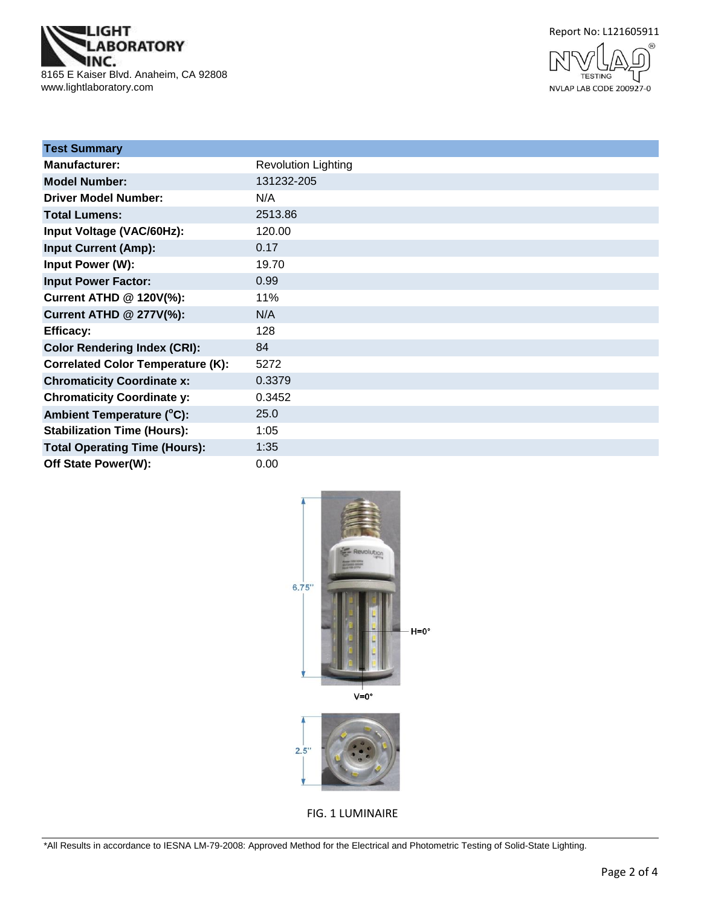





| <b>Test Summary</b>                      |                            |
|------------------------------------------|----------------------------|
| <b>Manufacturer:</b>                     | <b>Revolution Lighting</b> |
| <b>Model Number:</b>                     | 131232-205                 |
| <b>Driver Model Number:</b>              | N/A                        |
| <b>Total Lumens:</b>                     | 2513.86                    |
| Input Voltage (VAC/60Hz):                | 120.00                     |
| <b>Input Current (Amp):</b>              | 0.17                       |
| Input Power (W):                         | 19.70                      |
| <b>Input Power Factor:</b>               | 0.99                       |
| Current ATHD @ 120V(%):                  | 11%                        |
| <b>Current ATHD @ 277V(%):</b>           | N/A                        |
| <b>Efficacy:</b>                         | 128                        |
| <b>Color Rendering Index (CRI):</b>      | 84                         |
| <b>Correlated Color Temperature (K):</b> | 5272                       |
| <b>Chromaticity Coordinate x:</b>        | 0.3379                     |
| <b>Chromaticity Coordinate y:</b>        | 0.3452                     |
| Ambient Temperature (°C):                | 25.0                       |
| <b>Stabilization Time (Hours):</b>       | 1:05                       |
| <b>Total Operating Time (Hours):</b>     | 1:35                       |
| Off State Power(W):                      | 0.00                       |



FIG. 1 LUMINAIRE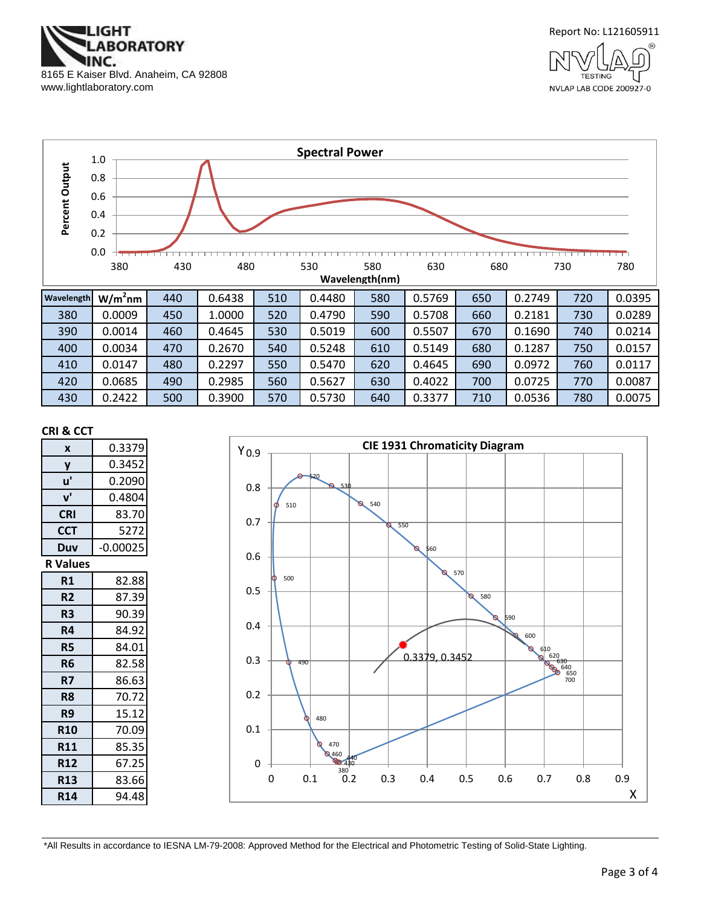





430 | 0.2422 | 500 | 0.3900 | 570 | 0.5730 | 640 | 0.3377 | 710 | 0.0536 | 780 | 0.0075

#### **CRI & CCT**

| X               | 0.3379     |
|-----------------|------------|
| y               | 0.3452     |
| u'              | 0.2090     |
| ${\bf v}'$      | 0.4804     |
| <b>CRI</b>      | 83.70      |
| <b>CCT</b>      | 5272       |
| Duv             | $-0.00025$ |
| <b>R</b> Values |            |
| R1              | 82.88      |
| R <sub>2</sub>  | 87.39      |
| R <sub>3</sub>  | 90.39      |
| R4              | 84.92      |
| R5              | 84.01      |
| R6              | 82.58      |
| R7              | 86.63      |
| R <sub>8</sub>  | 70.72      |
| R9              | 15.12      |
| <b>R10</b>      | 70.09      |
| <b>R11</b>      | 85.35      |
| <b>R12</b>      | 67.25      |
| <b>R13</b>      | 83.66      |
| <b>R14</b>      | 94.48      |

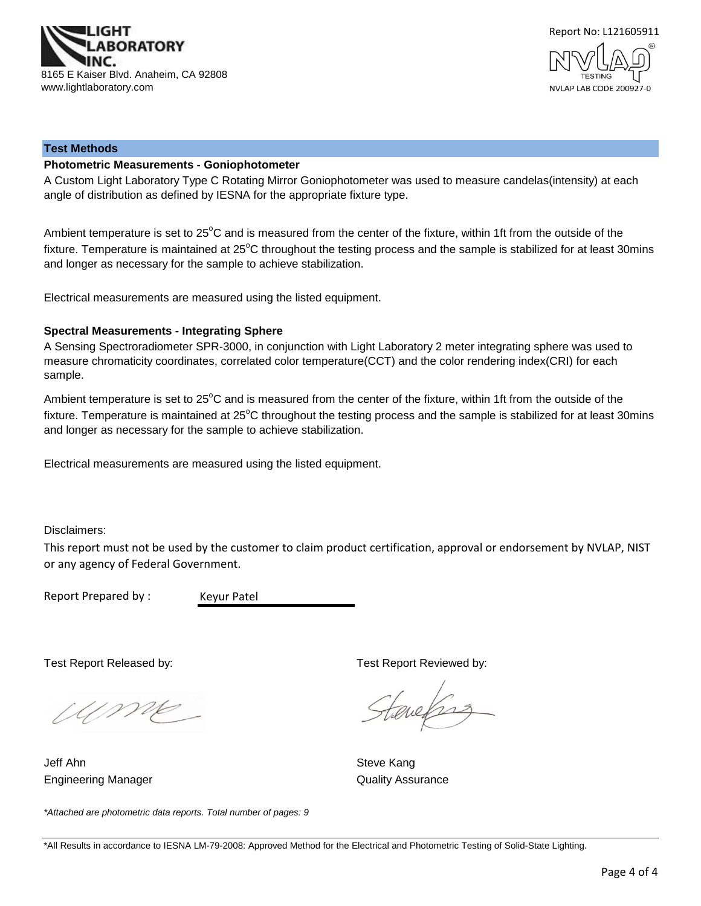



#### **Test Methods**

## **Photometric Measurements - Goniophotometer**

A Custom Light Laboratory Type C Rotating Mirror Goniophotometer was used to measure candelas(intensity) at each angle of distribution as defined by IESNA for the appropriate fixture type.

Ambient temperature is set to 25°C and is measured from the center of the fixture, within 1ft from the outside of the fixture. Temperature is maintained at  $25^{\circ}$ C throughout the testing process and the sample is stabilized for at least 30mins and longer as necessary for the sample to achieve stabilization.

Electrical measurements are measured using the listed equipment.

#### **Spectral Measurements - Integrating Sphere**

A Sensing Spectroradiometer SPR-3000, in conjunction with Light Laboratory 2 meter integrating sphere was used to measure chromaticity coordinates, correlated color temperature(CCT) and the color rendering index(CRI) for each sample.

Ambient temperature is set to 25°C and is measured from the center of the fixture, within 1ft from the outside of the fixture. Temperature is maintained at  $25^{\circ}$ C throughout the testing process and the sample is stabilized for at least 30mins and longer as necessary for the sample to achieve stabilization.

Electrical measurements are measured using the listed equipment.

Disclaimers:

This report must not be used by the customer to claim product certification, approval or endorsement by NVLAP, NIST or any agency of Federal Government.

Report Prepared by :

Keyur Patel

Wme

*\*Attached are photometric data reports. Total number of pages: 9*

Engineering Manager **Contract Contract Contract Contract Contract Contract Contract Contract Contract Contract Contract Contract Contract Contract Contract Contract Contract Contract Contract Contract Contract Contract Con** Jeff Ahn Steve Kang

Test Report Released by: Test Report Reviewed by:

tenefras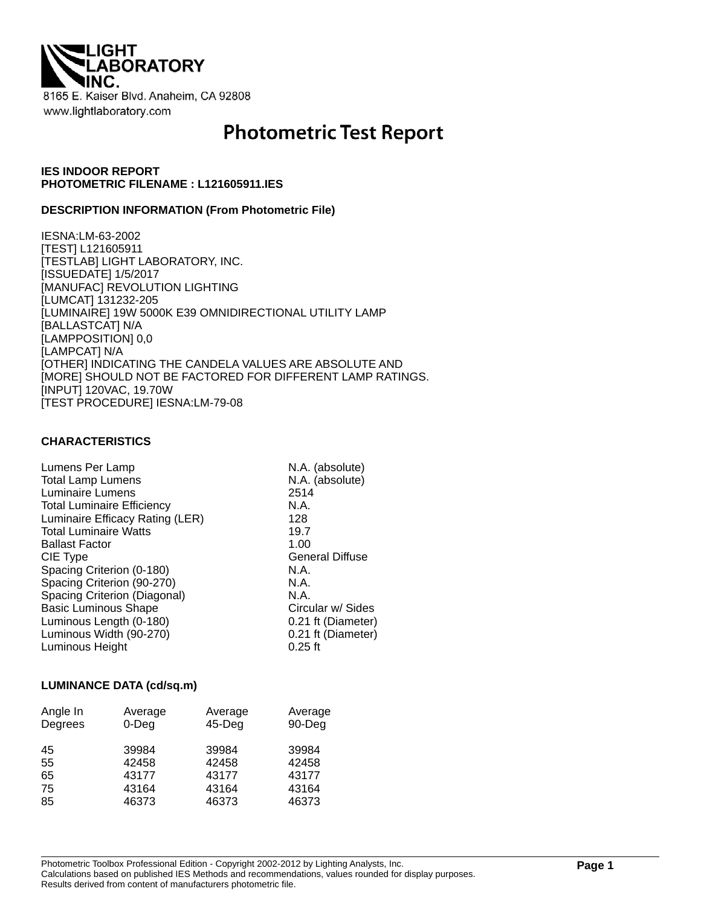

# **Photometric Test Report**

## **IES INDOOR REPORT PHOTOMETRIC FILENAME : L121605911.IES**

## **DESCRIPTION INFORMATION (From Photometric File)**

IESNA:LM-63-2002 [TEST] L121605911 [TESTLAB] LIGHT LABORATORY, INC. [ISSUEDATE] 1/5/2017 [MANUFAC] REVOLUTION LIGHTING [LUMCAT] 131232-205 [LUMINAIRE] 19W 5000K E39 OMNIDIRECTIONAL UTILITY LAMP [BALLASTCAT] N/A [LAMPPOSITION] 0,0 [LAMPCAT] N/A [OTHER] INDICATING THE CANDELA VALUES ARE ABSOLUTE AND [MORE] SHOULD NOT BE FACTORED FOR DIFFERENT LAMP RATINGS. [INPUT] 120VAC, 19.70W [TEST PROCEDURE] IESNA:LM-79-08

## **CHARACTERISTICS**

| Lumens Per Lamp                   | N.A. (absolute)        |
|-----------------------------------|------------------------|
| <b>Total Lamp Lumens</b>          | N.A. (absolute)        |
| Luminaire Lumens                  | 2514                   |
| <b>Total Luminaire Efficiency</b> | N.A.                   |
| Luminaire Efficacy Rating (LER)   | 128                    |
| <b>Total Luminaire Watts</b>      | 19.7                   |
| <b>Ballast Factor</b>             | 1.00                   |
| CIE Type                          | <b>General Diffuse</b> |
| Spacing Criterion (0-180)         | N.A.                   |
| Spacing Criterion (90-270)        | N.A.                   |
| Spacing Criterion (Diagonal)      | N.A.                   |
| <b>Basic Luminous Shape</b>       | Circular w/ Sides      |
| Luminous Length (0-180)           | 0.21 ft (Diameter)     |
| Luminous Width (90-270)           | 0.21 ft (Diameter)     |
| Luminous Height                   | $0.25$ ft              |

## **LUMINANCE DATA (cd/sq.m)**

| Angle In<br>Degrees | Average<br>$0$ -Deg | Average<br>$45$ -Deg | Average<br>90-Deg |
|---------------------|---------------------|----------------------|-------------------|
| 45                  | 39984               | 39984                | 39984             |
| 55                  | 42458               | 42458                | 42458             |
| 65                  | 43177               | 43177                | 43177             |
| 75                  | 43164               | 43164                | 43164             |
| 85                  | 46373               | 46373                | 46373             |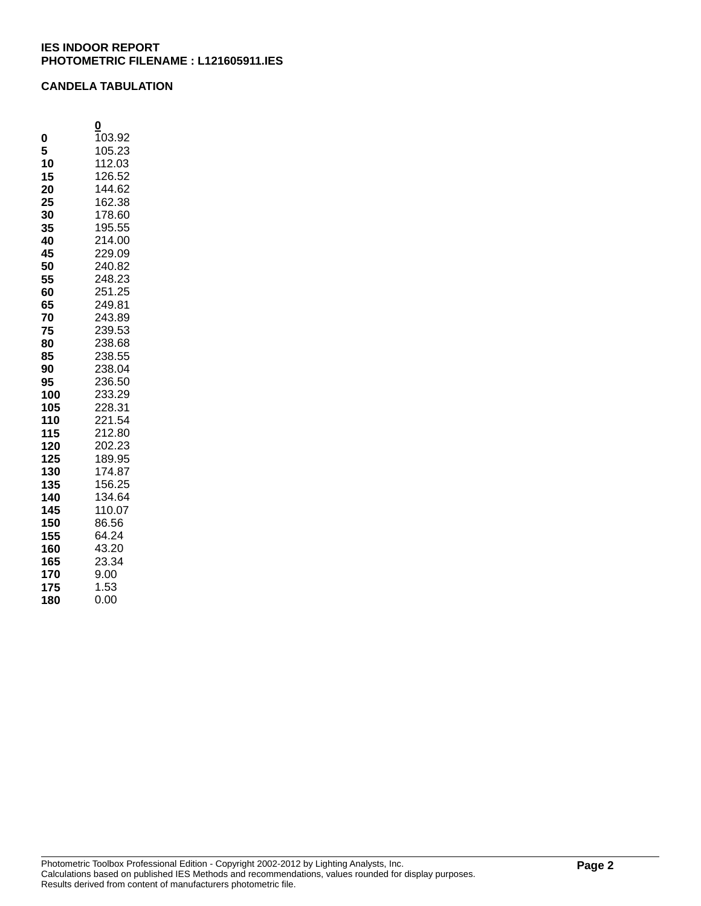## **CANDELA TABULATION**

|     | 0      |
|-----|--------|
| 0   | 103.92 |
| 5   | 105.23 |
| 10  | 112.03 |
| 15  | 126.52 |
| 20  | 144.62 |
| 25  | 162.38 |
| 30  | 178.60 |
| 35  | 195.55 |
| 40  | 214.00 |
| 45  | 229.09 |
| 50  | 240.82 |
| 55  | 248.23 |
| 60  | 251.25 |
| 65  | 249.81 |
| 70  | 243.89 |
| 75  | 239.53 |
| 80  | 238.68 |
| 85  | 238.55 |
| 90  | 238.04 |
| 95  | 236.50 |
| 100 | 233.29 |
| 105 | 228.31 |
| 110 | 221.54 |
| 115 | 212.80 |
| 120 | 202.23 |
| 125 | 189.95 |
| 130 | 174.87 |
| 135 | 156.25 |
| 140 | 134.64 |
| 145 | 110.07 |
| 150 | 86.56  |
| 155 | 64.24  |
| 160 | 43.20  |
| 165 | 23.34  |
| 170 | 9.00   |
| 175 | 1.53   |
| 180 | 0.00   |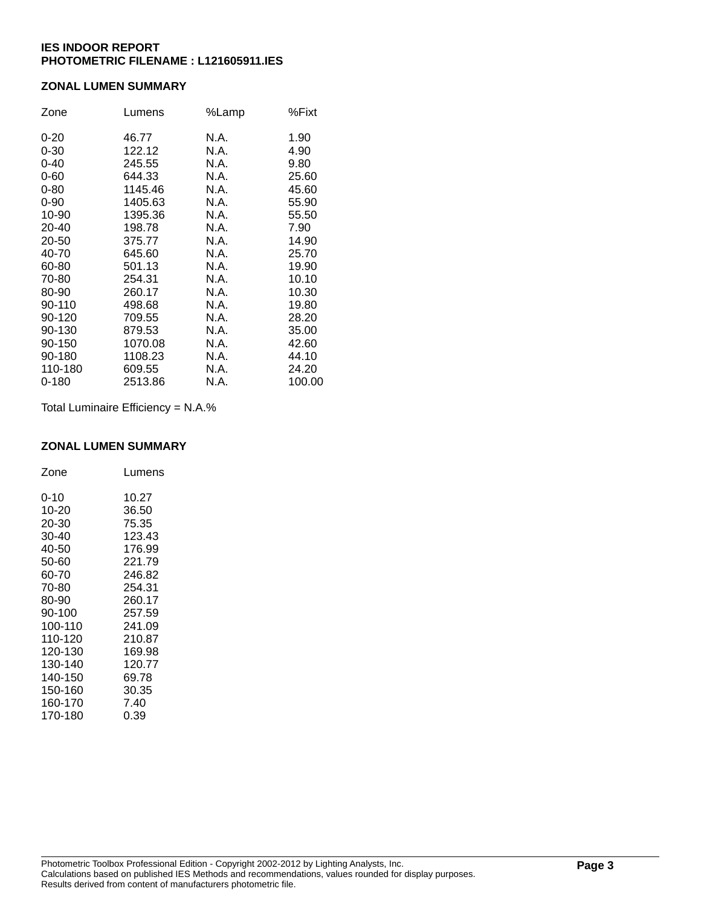## **ZONAL LUMEN SUMMARY**

| Zone      | Lumens  | %Lamp | %Fixt  |
|-----------|---------|-------|--------|
| $0 - 20$  | 46.77   | N.A.  | 1.90   |
| $0 - 30$  | 122.12  | N.A.  | 4.90   |
| $0 - 40$  | 245.55  | N.A.  | 9.80   |
| $0 - 60$  | 644.33  | N.A.  | 25.60  |
| $0 - 80$  | 1145.46 | N.A.  | 45.60  |
| $0 - 90$  | 1405.63 | N.A.  | 55.90  |
| 10-90     | 1395.36 | N.A.  | 55.50  |
| 20-40     | 198.78  | N.A.  | 7.90   |
| 20-50     | 375.77  | N.A.  | 14.90  |
| 40-70     | 645.60  | N.A.  | 25.70  |
| 60-80     | 501.13  | N.A.  | 19.90  |
| 70-80     | 254.31  | N.A.  | 10.10  |
| 80-90     | 260.17  | N.A.  | 10.30  |
| 90-110    | 498.68  | N.A.  | 19.80  |
| 90-120    | 709.55  | N.A.  | 28.20  |
| 90-130    | 879.53  | N.A.  | 35.00  |
| 90-150    | 1070.08 | N.A.  | 42.60  |
| 90-180    | 1108.23 | N.A.  | 44.10  |
| 110-180   | 609.55  | N.A.  | 24.20  |
| $0 - 180$ | 2513.86 | N.A.  | 100.00 |

Total Luminaire Efficiency = N.A.%

## **ZONAL LUMEN SUMMARY**

| Zone    | Lumens |
|---------|--------|
| 0-10    | 10.27  |
| 10-20   | 36.50  |
| 20-30   | 75.35  |
| 30-40   | 123.43 |
| 40-50   | 176.99 |
| 50-60   | 221.79 |
| 60-70   | 246.82 |
| 70-80   | 254.31 |
| 80-90   | 260.17 |
| 90-100  | 257.59 |
| 100-110 | 241.09 |
| 110-120 | 210.87 |
| 120-130 | 169.98 |
| 130-140 | 120.77 |
| 140-150 | 69.78  |
| 150-160 | 30.35  |
| 160-170 | 7.40   |
| 170-180 | 0.39   |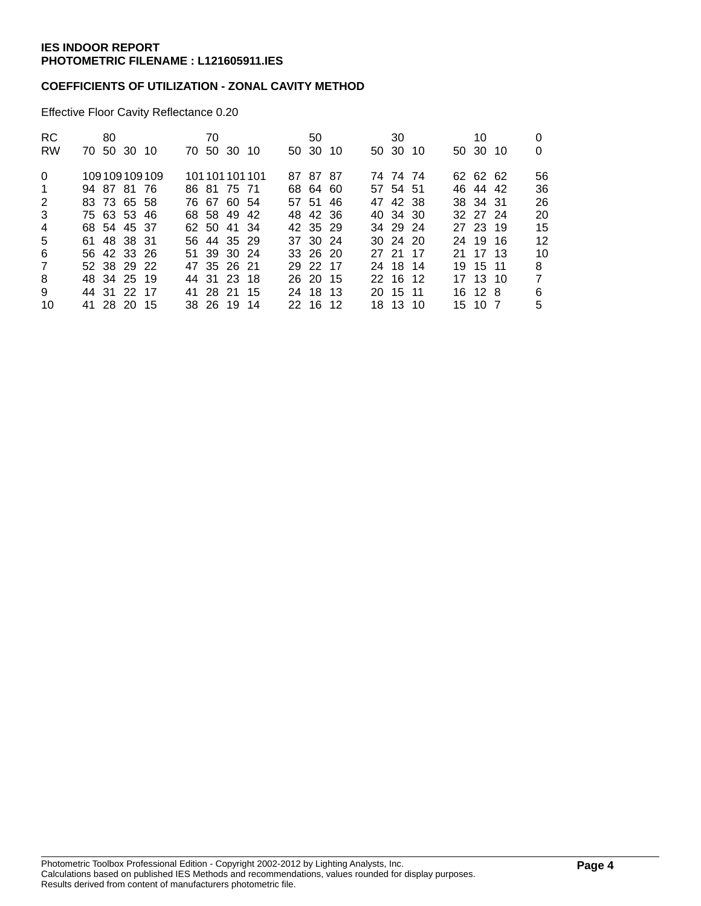## **COEFFICIENTS OF UTILIZATION - ZONAL CAVITY METHOD**

Effective Floor Cavity Reflectance 0.20

| RC.<br><b>RW</b> |             | 80 | 70 50 30 10 |              | 70 | 70 50 30 10 |                 | 50<br>50 30 10 |  | 30<br>50 30 10 |  | 10<br>50 30 10 | 0<br>0         |
|------------------|-------------|----|-------------|--------------|----|-------------|-----------------|----------------|--|----------------|--|----------------|----------------|
|                  |             |    |             |              |    |             |                 |                |  |                |  |                |                |
| $\Omega$         |             |    |             | 109109109109 |    |             | 101 101 101 101 | 87 87 87       |  | 74 74 74       |  | 62 62 62       | 56             |
| $\mathbf{1}$     |             |    | 94 87 81 76 |              |    | 86 81 75 71 |                 | 68 64 60       |  | 57 54 51       |  | 46 44 42       | 36             |
| 2                |             |    | 83 73 65 58 |              |    | 76 67 60 54 |                 | 57 51 46       |  | 47 42 38       |  | 38 34 31       | 26             |
| 3                | 75 63 53 46 |    |             |              |    | 68 58 49 42 |                 | 48 42 36       |  | 40 34 30       |  | 32 27 24       | 20             |
| 4                |             |    | 68 54 45 37 |              |    | 62 50 41 34 |                 | 42 35 29       |  | 34 29 24       |  | 27 23 19       | 15             |
| 5                |             |    | 61 48 38 31 |              |    | 56 44 35 29 |                 | 37 30 24       |  | $30\,24\,20$   |  | 24 19 16       | 12             |
| 6                |             |    | 56 42 33 26 |              |    | 51 39 30 24 |                 | 33 26 20       |  | 27 21 17       |  | 21 17 13       | 10             |
| 7                |             |    | 52 38 29 22 |              |    | 47 35 26 21 |                 | 29 22 17       |  | 24 18 14       |  | 19 15 11       | 8              |
| 8                |             |    | 48 34 25 19 |              |    | 44 31 23 18 |                 | 26 20 15       |  | 22 16 12       |  | 17 13 10       | $\overline{7}$ |
| 9                |             |    | 44 31 22 17 |              |    | 41 28 21 15 |                 | 24 18 13       |  | 20 15 11       |  | 16 12 8        | 6              |
| 10               |             |    | 41 28 20 15 |              |    | 38 26 19 14 |                 | 22 16 12       |  | 18 13 10       |  | 15 10 7        | 5              |